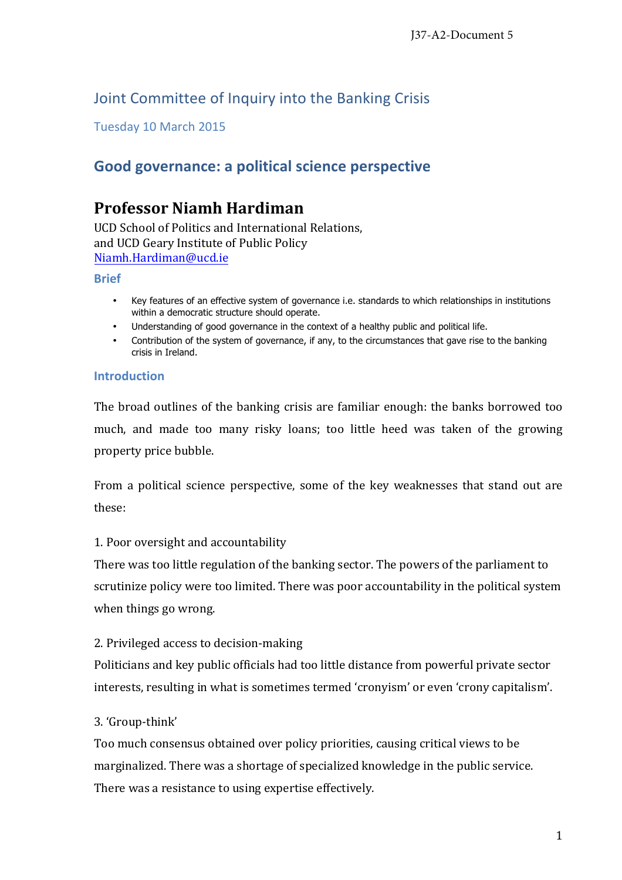# Joint Committee of Inquiry into the Banking Crisis

Tuesday 10 March 2015 

# **Good governance: a political science perspective**

## **Professor Niamh Hardiman**

UCD School of Politics and International Relations. and UCD Geary Institute of Public Policy Niamh.Hardiman@ucd.ie 

### **Brief**

- Key features of an effective system of governance i.e. standards to which relationships in institutions within a democratic structure should operate.
- Understanding of good governance in the context of a healthy public and political life.
- Contribution of the system of governance, if any, to the circumstances that gave rise to the banking crisis in Ireland.

### **Introduction**

The broad outlines of the banking crisis are familiar enough: the banks borrowed too much, and made too many risky loans; too little heed was taken of the growing property price bubble.

From a political science perspective, some of the key weaknesses that stand out are these:

## 1. Poor oversight and accountability

There was too little regulation of the banking sector. The powers of the parliament to scrutinize policy were too limited. There was poor accountability in the political system when things go wrong.

## 2. Privileged access to decision-making

Politicians and key public officials had too little distance from powerful private sector interests, resulting in what is sometimes termed 'cronyism' or even 'crony capitalism'.

## 3. 'Group-think'

Too much consensus obtained over policy priorities, causing critical views to be marginalized. There was a shortage of specialized knowledge in the public service. There was a resistance to using expertise effectively.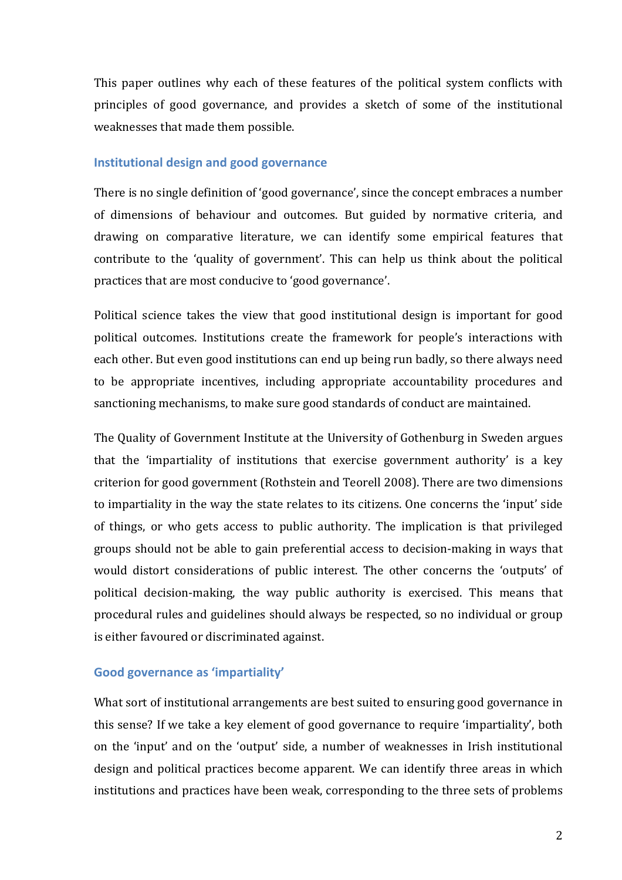This paper outlines why each of these features of the political system conflicts with principles of good governance, and provides a sketch of some of the institutional weaknesses that made them possible.

#### **Institutional design and good governance**

There is no single definition of 'good governance', since the concept embraces a number of dimensions of behaviour and outcomes. But guided by normative criteria, and drawing on comparative literature, we can identify some empirical features that contribute to the 'quality of government'. This can help us think about the political practices that are most conducive to 'good governance'.

Political science takes the view that good institutional design is important for good political outcomes. Institutions create the framework for people's interactions with each other. But even good institutions can end up being run badly, so there always need to be appropriate incentives, including appropriate accountability procedures and sanctioning mechanisms, to make sure good standards of conduct are maintained.

The Quality of Government Institute at the University of Gothenburg in Sweden argues that the 'impartiality of institutions that exercise government authority' is a key criterion for good government (Rothstein and Teorell 2008). There are two dimensions to impartiality in the way the state relates to its citizens. One concerns the 'input' side of things, or who gets access to public authority. The implication is that privileged groups should not be able to gain preferential access to decision-making in ways that would distort considerations of public interest. The other concerns the 'outputs' of political decision-making, the way public authority is exercised. This means that procedural rules and guidelines should always be respected, so no individual or group is either favoured or discriminated against.

## Good governance as 'impartiality'

What sort of institutional arrangements are best suited to ensuring good governance in this sense? If we take a key element of good governance to require 'impartiality', both on the 'input' and on the 'output' side, a number of weaknesses in Irish institutional design and political practices become apparent. We can identify three areas in which institutions and practices have been weak, corresponding to the three sets of problems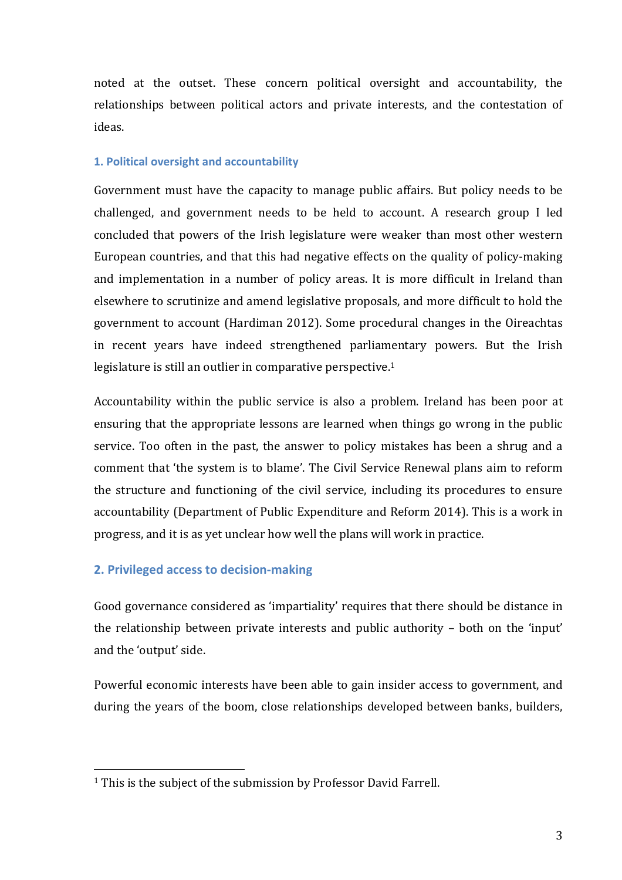noted at the outset. These concern political oversight and accountability, the relationships between political actors and private interests, and the contestation of ideas.

#### **1. Political oversight and accountability**

Government must have the capacity to manage public affairs. But policy needs to be challenged, and government needs to be held to account. A research group I led concluded that powers of the Irish legislature were weaker than most other western European countries, and that this had negative effects on the quality of policy-making and implementation in a number of policy areas. It is more difficult in Ireland than elsewhere to scrutinize and amend legislative proposals, and more difficult to hold the government to account (Hardiman 2012). Some procedural changes in the Oireachtas in recent years have indeed strengthened parliamentary powers. But the Irish legislature is still an outlier in comparative perspective.<sup>1</sup>

Accountability within the public service is also a problem. Ireland has been poor at ensuring that the appropriate lessons are learned when things go wrong in the public service. Too often in the past, the answer to policy mistakes has been a shrug and a comment that 'the system is to blame'. The Civil Service Renewal plans aim to reform the structure and functioning of the civil service, including its procedures to ensure accountability (Department of Public Expenditure and Reform 2014). This is a work in progress, and it is as yet unclear how well the plans will work in practice.

#### **2. Privileged access to decision-making**

 

Good governance considered as 'impartiality' requires that there should be distance in the relationship between private interests and public authority  $-$  both on the 'input' and the 'output' side.

Powerful economic interests have been able to gain insider access to government, and during the years of the boom, close relationships developed between banks, builders,

 $1$  This is the subject of the submission by Professor David Farrell.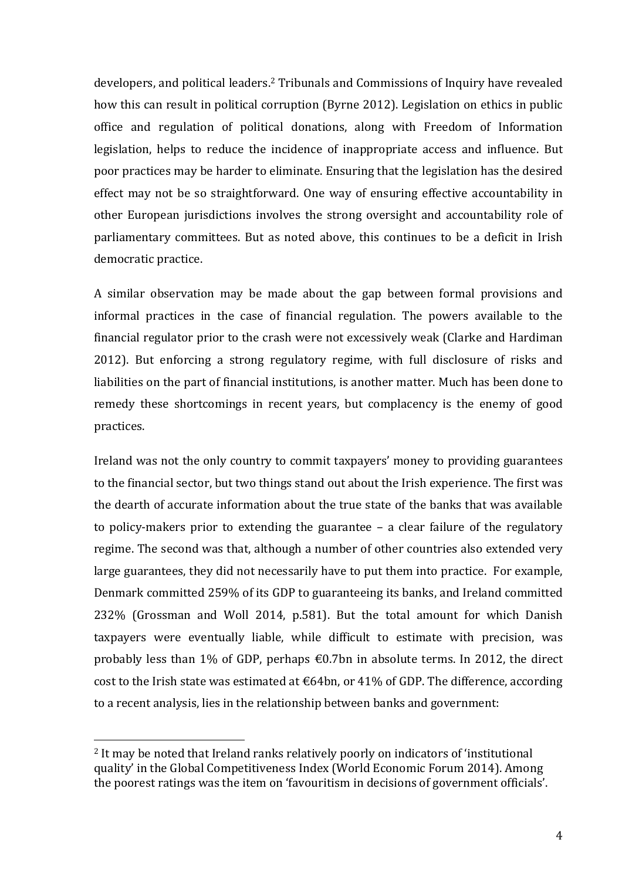developers, and political leaders.<sup>2</sup> Tribunals and Commissions of Inquiry have revealed how this can result in political corruption (Byrne 2012). Legislation on ethics in public office and regulation of political donations, along with Freedom of Information legislation, helps to reduce the incidence of inappropriate access and influence. But poor practices may be harder to eliminate. Ensuring that the legislation has the desired effect may not be so straightforward. One way of ensuring effective accountability in other European jurisdictions involves the strong oversight and accountability role of parliamentary committees. But as noted above, this continues to be a deficit in Irish democratic practice.

A similar observation may be made about the gap between formal provisions and informal practices in the case of financial regulation. The powers available to the financial regulator prior to the crash were not excessively weak (Clarke and Hardiman 2012). But enforcing a strong regulatory regime, with full disclosure of risks and liabilities on the part of financial institutions, is another matter. Much has been done to remedy these shortcomings in recent years, but complacency is the enemy of good practices.

Ireland was not the only country to commit taxpayers' money to providing guarantees to the financial sector, but two things stand out about the Irish experience. The first was the dearth of accurate information about the true state of the banks that was available to policy-makers prior to extending the guarantee  $-$  a clear failure of the regulatory regime. The second was that, although a number of other countries also extended very large guarantees, they did not necessarily have to put them into practice. For example, Denmark committed 259% of its GDP to guaranteeing its banks, and Ireland committed 232% (Grossman and Woll 2014, p.581). But the total amount for which Danish taxpayers were eventually liable, while difficult to estimate with precision, was probably less than 1% of GDP, perhaps  $\epsilon$ 0.7bn in absolute terms. In 2012, the direct cost to the Irish state was estimated at  $€64$ bn, or 41% of GDP. The difference, according to a recent analysis, lies in the relationship between banks and government:

 

 $2$  It mav be noted that Ireland ranks relatively poorly on indicators of 'institutional quality' in the Global Competitiveness Index (World Economic Forum 2014). Among the poorest ratings was the item on 'favouritism in decisions of government officials'.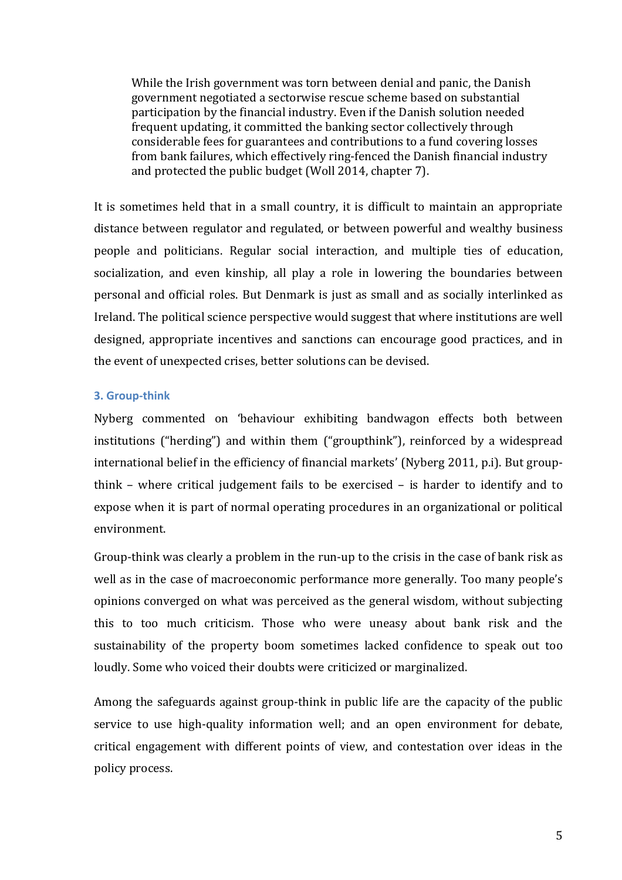While the Irish government was torn between denial and panic, the Danish government negotiated a sectorwise rescue scheme based on substantial participation by the financial industry. Even if the Danish solution needed frequent updating, it committed the banking sector collectively through considerable fees for guarantees and contributions to a fund covering losses from bank failures, which effectively ring-fenced the Danish financial industry and protected the public budget (Woll 2014, chapter 7).

It is sometimes held that in a small country, it is difficult to maintain an appropriate distance between regulator and regulated, or between powerful and wealthy business people and politicians. Regular social interaction, and multiple ties of education, socialization, and even kinship, all play a role in lowering the boundaries between personal and official roles. But Denmark is just as small and as socially interlinked as Ireland. The political science perspective would suggest that where institutions are well designed, appropriate incentives and sanctions can encourage good practices, and in the event of unexpected crises, better solutions can be devised.

### **3. Group-think**

Nyberg commented on 'behaviour exhibiting bandwagon effects both between institutions ("herding") and within them ("groupthink"), reinforced by a widespread international belief in the efficiency of financial markets' (Nyberg 2011, p.i). But groupthink – where critical judgement fails to be exercised – is harder to identify and to expose when it is part of normal operating procedures in an organizational or political environment. 

Group-think was clearly a problem in the run-up to the crisis in the case of bank risk as well as in the case of macroeconomic performance more generally. Too many people's opinions converged on what was perceived as the general wisdom, without subjecting this to too much criticism. Those who were uneasy about bank risk and the sustainability of the property boom sometimes lacked confidence to speak out too loudly. Some who voiced their doubts were criticized or marginalized.

Among the safeguards against group-think in public life are the capacity of the public service to use high-quality information well; and an open environment for debate, critical engagement with different points of view, and contestation over ideas in the policy process.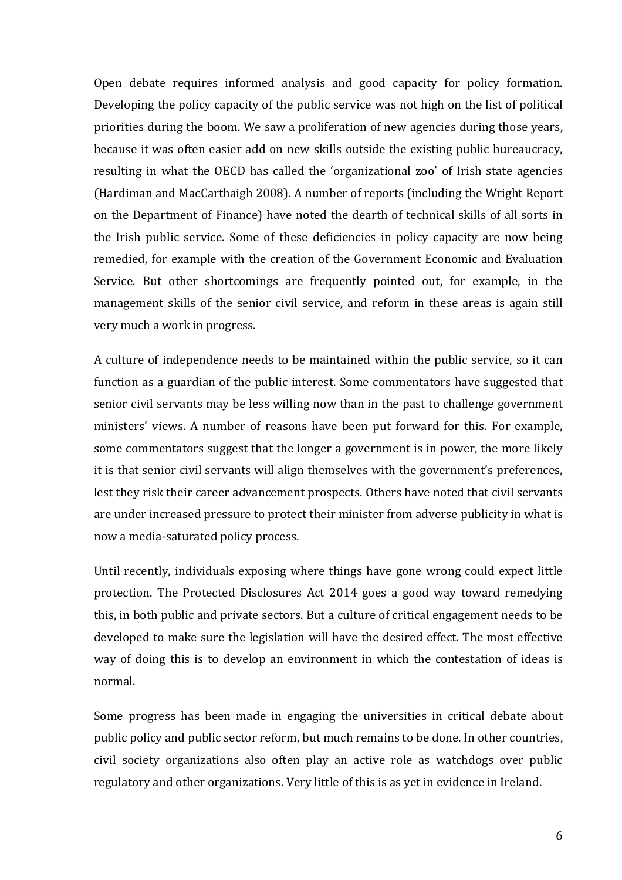Open debate requires informed analysis and good capacity for policy formation. Developing the policy capacity of the public service was not high on the list of political priorities during the boom. We saw a proliferation of new agencies during those years, because it was often easier add on new skills outside the existing public bureaucracy, resulting in what the OECD has called the 'organizational zoo' of Irish state agencies (Hardiman and MacCarthaigh 2008). A number of reports (including the Wright Report on the Department of Finance) have noted the dearth of technical skills of all sorts in the Irish public service. Some of these deficiencies in policy capacity are now being remedied, for example with the creation of the Government Economic and Evaluation Service. But other shortcomings are frequently pointed out, for example, in the management skills of the senior civil service, and reform in these areas is again still very much a work in progress.

A culture of independence needs to be maintained within the public service, so it can function as a guardian of the public interest. Some commentators have suggested that senior civil servants may be less willing now than in the past to challenge government ministers' views. A number of reasons have been put forward for this. For example, some commentators suggest that the longer a government is in power, the more likely it is that senior civil servants will align themselves with the government's preferences, lest they risk their career advancement prospects. Others have noted that civil servants are under increased pressure to protect their minister from adverse publicity in what is now a media-saturated policy process.

Until recently, individuals exposing where things have gone wrong could expect little protection. The Protected Disclosures Act 2014 goes a good way toward remedying this, in both public and private sectors. But a culture of critical engagement needs to be developed to make sure the legislation will have the desired effect. The most effective way of doing this is to develop an environment in which the contestation of ideas is normal. 

Some progress has been made in engaging the universities in critical debate about public policy and public sector reform, but much remains to be done. In other countries, civil society organizations also often play an active role as watchdogs over public regulatory and other organizations. Very little of this is as yet in evidence in Ireland.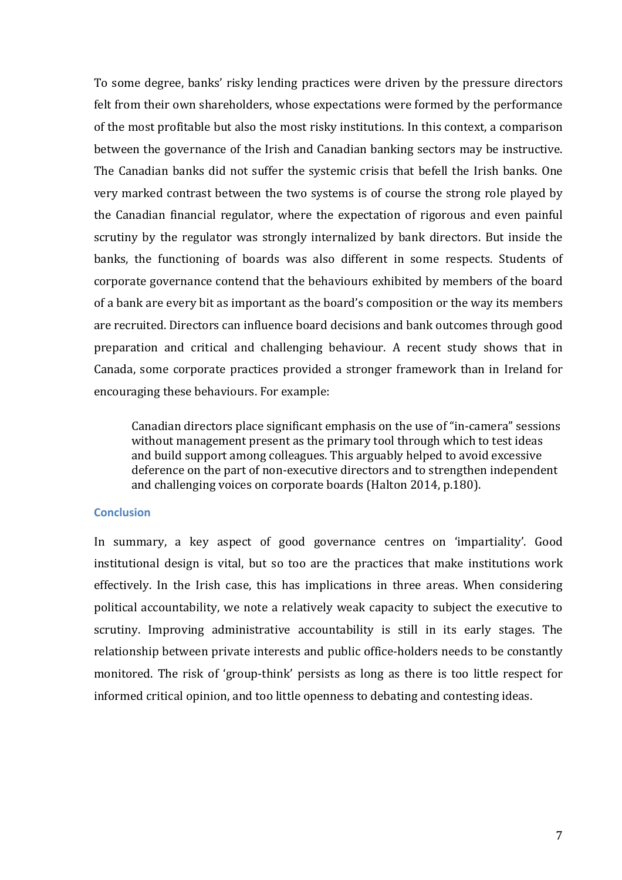To some degree, banks' risky lending practices were driven by the pressure directors felt from their own shareholders, whose expectations were formed by the performance of the most profitable but also the most risky institutions. In this context, a comparison between the governance of the Irish and Canadian banking sectors may be instructive. The Canadian banks did not suffer the systemic crisis that befell the Irish banks. One very marked contrast between the two systems is of course the strong role played by the Canadian financial regulator, where the expectation of rigorous and even painful scrutiny by the regulator was strongly internalized by bank directors. But inside the banks, the functioning of boards was also different in some respects. Students of corporate governance contend that the behaviours exhibited by members of the board of a bank are every bit as important as the board's composition or the way its members are recruited. Directors can influence board decisions and bank outcomes through good preparation and critical and challenging behaviour. A recent study shows that in Canada, some corporate practices provided a stronger framework than in Ireland for encouraging these behaviours. For example:

Canadian directors place significant emphasis on the use of "in-camera" sessions without management present as the primary tool through which to test ideas and build support among colleagues. This arguably helped to avoid excessive deference on the part of non-executive directors and to strengthen independent and challenging voices on corporate boards (Halton 2014, p.180).

#### **Conclusion**

In summary, a key aspect of good governance centres on 'impartiality'. Good institutional design is vital, but so too are the practices that make institutions work effectively. In the Irish case, this has implications in three areas. When considering political accountability, we note a relatively weak capacity to subject the executive to scrutiny. Improving administrative accountability is still in its early stages. The relationship between private interests and public office-holders needs to be constantly monitored. The risk of 'group-think' persists as long as there is too little respect for informed critical opinion, and too little openness to debating and contesting ideas.